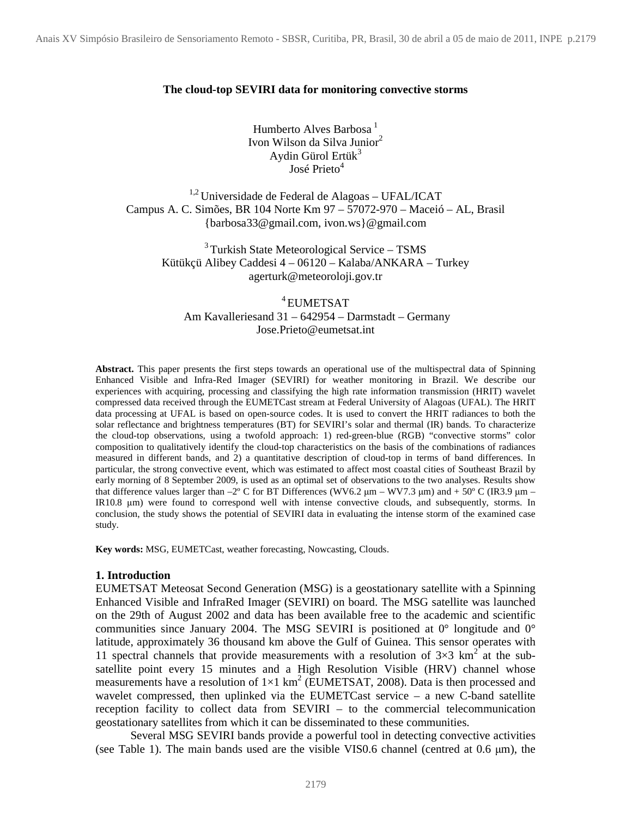#### **The cloud-top SEVIRI data for monitoring convective storms**

Humberto Alves Barbosa $<sup>1</sup>$ </sup> Ivon Wilson da Silva Junior<sup>2</sup> Aydin Gürol Ertük $3$ José Prieto<sup>4</sup>

 $1.2$  Universidade de Federal de Alagoas - UFAL/ICAT Campus A. C. Simões, BR 104 Norte Km 97 – 57072-970 – Maceió – AL, Brasil {barbosa33@gmail.com, ivon.ws}@gmail.com

<sup>3</sup> Turkish State Meteorological Service – TSMS Kütükçü Alibey Caddesi 4 – 06120 – Kalaba/ANKARA – Turkey agerturk@meteoroloji.gov.tr

<sup>4</sup> EUMETSAT Am Kavalleriesand 31 – 642954 – Darmstadt – Germany Jose.Prieto@eumetsat.int

**Abstract.** This paper presents the first steps towards an operational use of the multispectral data of Spinning Enhanced Visible and Infra-Red Imager (SEVIRI) for weather monitoring in Brazil. We describe our experiences with acquiring, processing and classifying the high rate information transmission (HRIT) wavelet compressed data received through the EUMETCast stream at Federal University of Alagoas (UFAL). The HRIT data processing at UFAL is based on open-source codes. It is used to convert the HRIT radiances to both the solar reflectance and brightness temperatures (BT) for SEVIRI's solar and thermal (IR) bands. To characterize the cloud-top observations, using a twofold approach: 1) red-green-blue (RGB) "convective storms" color composition to qualitatively identify the cloud-top characteristics on the basis of the combinations of radiances measured in different bands, and 2) a quantitative description of cloud-top in terms of band differences. In particular, the strong convective event, which was estimated to affect most coastal cities of Southeast Brazil by early morning of 8 September 2009, is used as an optimal set of observations to the two analyses. Results show that difference values larger than  $-2^{\circ}$  C for BT Differences (WV6.2  $\mu$ m – WV7.3  $\mu$ m) and + 50° C (IR3.9  $\mu$ m – IR10.8 µm) were found to correspond well with intense convective clouds, and subsequently, storms. In conclusion, the study shows the potential of SEVIRI data in evaluating the intense storm of the examined case study.

**Key words:** MSG, EUMETCast, weather forecasting, Nowcasting, Clouds.

#### **1. Introduction**

EUMETSAT Meteosat Second Generation (MSG) is a geostationary satellite with a Spinning Enhanced Visible and InfraRed Imager (SEVIRI) on board. The MSG satellite was launched on the 29th of August 2002 and data has been available free to the academic and scientific communities since January 2004. The MSG SEVIRI is positioned at 0° longitude and 0° latitude, approximately 36 thousand km above the Gulf of Guinea. This sensor operates with 11 spectral channels that provide measurements with a resolution of  $3\times3$  km<sup>2</sup> at the subsatellite point every 15 minutes and a High Resolution Visible (HRV) channel whose measurements have a resolution of  $1\times1$  km<sup>2</sup> (EUMETSAT, 2008). Data is then processed and wavelet compressed, then uplinked via the EUMETCast service – a new C-band satellite reception facility to collect data from SEVIRI – to the commercial telecommunication geostationary satellites from which it can be disseminated to these communities.

Several MSG SEVIRI bands provide a powerful tool in detecting convective activities (see Table 1). The main bands used are the visible VIS0.6 channel (centred at  $0.6 \mu m$ ), the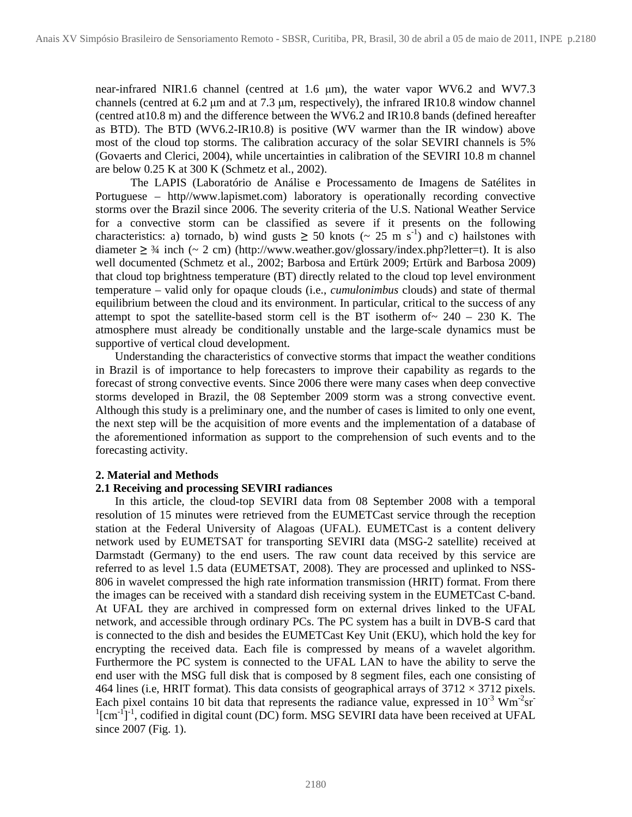near-infrared NIR1.6 channel (centred at 1.6  $\mu$ m), the water vapor WV6.2 and WV7.3 channels (centred at 6.2 µm and at 7.3 µm, respectively), the infrared IR10.8 window channel (centred at10.8 m) and the difference between the WV6.2 and IR10.8 bands (defined hereafter as BTD). The BTD (WV6.2-IR10.8) is positive (WV warmer than the IR window) above most of the cloud top storms. The calibration accuracy of the solar SEVIRI channels is 5% (Govaerts and Clerici, 2004), while uncertainties in calibration of the SEVIRI 10.8 m channel are below 0.25 K at 300 K (Schmetz et al., 2002).

The LAPIS (Laboratório de Análise e Processamento de Imagens de Satélites in Portuguese – http//www.lapismet.com) laboratory is operationally recording convective storms over the Brazil since 2006. The severity criteria of the U.S. National Weather Service for a convective storm can be classified as severe if it presents on the following characteristics: a) tornado, b) wind gusts  $\geq$  50 knots (~ 25 m s<sup>-1</sup>) and c) hailstones with diameter  $\geq$  3/4 inch (~ 2 cm) (http://www.weather.gov/glossary/index.php?letter=t). It is also well documented (Schmetz et al., 2002; Barbosa and Ertürk 2009; Ertürk and Barbosa 2009) that cloud top brightness temperature (BT) directly related to the cloud top level environment temperature – valid only for opaque clouds (i.e., *cumulonimbus* clouds) and state of thermal equilibrium between the cloud and its environment. In particular, critical to the success of any attempt to spot the satellite-based storm cell is the BT isotherm of  $\sim$  240 – 230 K. The atmosphere must already be conditionally unstable and the large-scale dynamics must be supportive of vertical cloud development.

Understanding the characteristics of convective storms that impact the weather conditions in Brazil is of importance to help forecasters to improve their capability as regards to the forecast of strong convective events. Since 2006 there were many cases when deep convective storms developed in Brazil, the 08 September 2009 storm was a strong convective event. Although this study is a preliminary one, and the number of cases is limited to only one event, the next step will be the acquisition of more events and the implementation of a database of the aforementioned information as support to the comprehension of such events and to the forecasting activity.

## **2. Material and Methods**

# **2.1 Receiving and processing SEVIRI radiances**

In this article, the cloud-top SEVIRI data from 08 September 2008 with a temporal resolution of 15 minutes were retrieved from the EUMETCast service through the reception station at the Federal University of Alagoas (UFAL). EUMETCast is a content delivery network used by EUMETSAT for transporting SEVIRI data (MSG-2 satellite) received at Darmstadt (Germany) to the end users. The raw count data received by this service are referred to as level 1.5 data (EUMETSAT, 2008). They are processed and uplinked to NSS-806 in wavelet compressed the high rate information transmission (HRIT) format. From there the images can be received with a standard dish receiving system in the EUMETCast C-band. At UFAL they are archived in compressed form on external drives linked to the UFAL network, and accessible through ordinary PCs. The PC system has a built in DVB-S card that is connected to the dish and besides the EUMETCast Key Unit (EKU), which hold the key for encrypting the received data. Each file is compressed by means of a wavelet algorithm. Furthermore the PC system is connected to the UFAL LAN to have the ability to serve the end user with the MSG full disk that is composed by 8 segment files, each one consisting of 464 lines (i.e, HRIT format). This data consists of geographical arrays of  $3712 \times 3712$  pixels. Each pixel contains 10 bit data that represents the radiance value, expressed in  $10^{-3}$  Wm<sup>-2</sup>sr<sup>-</sup>  $\rm~^{1}[cm^{-1}]$ <sup>-1</sup>, codified in digital count (DC) form. MSG SEVIRI data have been received at UFAL since 2007 (Fig. 1).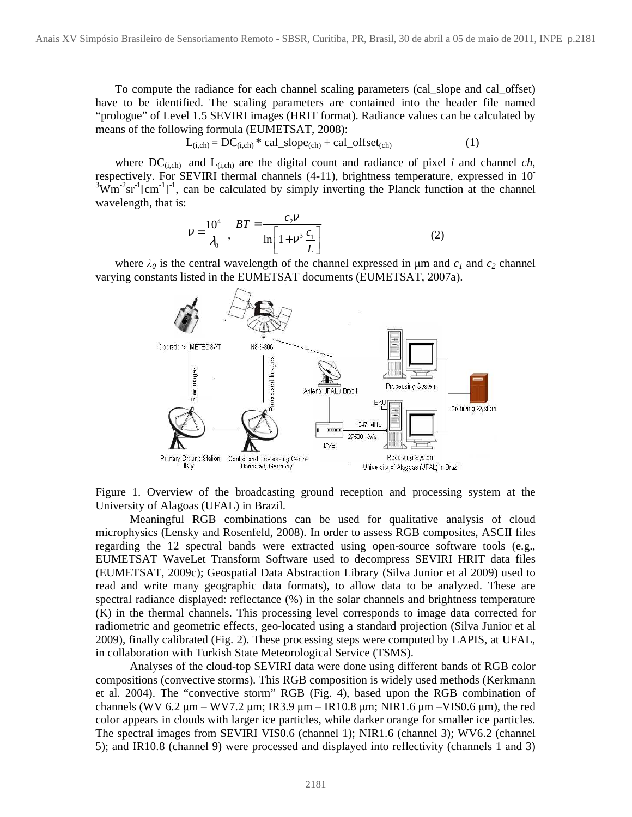To compute the radiance for each channel scaling parameters (cal\_slope and cal\_offset) have to be identified. The scaling parameters are contained into the header file named "prologue" of Level 1.5 SEVIRI images (HRIT format). Radiance values can be calculated by means of the following formula (EUMETSAT, 2008):

$$
L_{(i, ch)} = DC_{(i, ch)} * cal\_slope_{(ch)} + cal\_offset_{(ch)}
$$
 (1)

where  $DC_{(i,ch)}$  and  $L_{(i,ch)}$  are the digital count and radiance of pixel *i* and channel *ch*, respectively. For SEVIRI thermal channels (4-11), brightness temperature, expressed in 10-  $3 \text{Wm}^2 \text{sr}^1[\text{cm}^2]$ <sup>1</sup>, can be calculated by simply inverting the Planck function at the channel wavelength, that is:

$$
V = \frac{10^4}{\lambda_0}, \quad BT = \frac{c_2 V}{\ln \left[1 + V^3 \frac{c_1}{L}\right]}
$$
 (2)

where  $\lambda_0$  is the central wavelength of the channel expressed in  $\mu$ m and  $c_1$  and  $c_2$  channel varying constants listed in the EUMETSAT documents (EUMETSAT, 2007a).



Figure 1. Overview of the broadcasting ground reception and processing system at the University of Alagoas (UFAL) in Brazil.

Meaningful RGB combinations can be used for qualitative analysis of cloud microphysics (Lensky and Rosenfeld, 2008). In order to assess RGB composites, ASCII files regarding the 12 spectral bands were extracted using open-source software tools (e.g., EUMETSAT WaveLet Transform Software used to decompress SEVIRI HRIT data files (EUMETSAT, 2009c); Geospatial Data Abstraction Library (Silva Junior et al 2009) used to read and write many geographic data formats), to allow data to be analyzed. These are spectral radiance displayed: reflectance (%) in the solar channels and brightness temperature (K) in the thermal channels. This processing level corresponds to image data corrected for radiometric and geometric effects, geo-located using a standard projection (Silva Junior et al 2009), finally calibrated (Fig. 2). These processing steps were computed by LAPIS, at UFAL, in collaboration with Turkish State Meteorological Service (TSMS).

Analyses of the cloud-top SEVIRI data were done using different bands of RGB color compositions (convective storms). This RGB composition is widely used methods (Kerkmann et al. 2004). The "convective storm" RGB (Fig. 4), based upon the RGB combination of channels (WV 6.2  $\mu$ m – WV7.2  $\mu$ m; IR3.9  $\mu$ m – IR10.8  $\mu$ m; NIR1.6  $\mu$ m – VIS0.6  $\mu$ m), the red color appears in clouds with larger ice particles, while darker orange for smaller ice particles. The spectral images from SEVIRI VIS0.6 (channel 1); NIR1.6 (channel 3); WV6.2 (channel 5); and IR10.8 (channel 9) were processed and displayed into reflectivity (channels 1 and 3)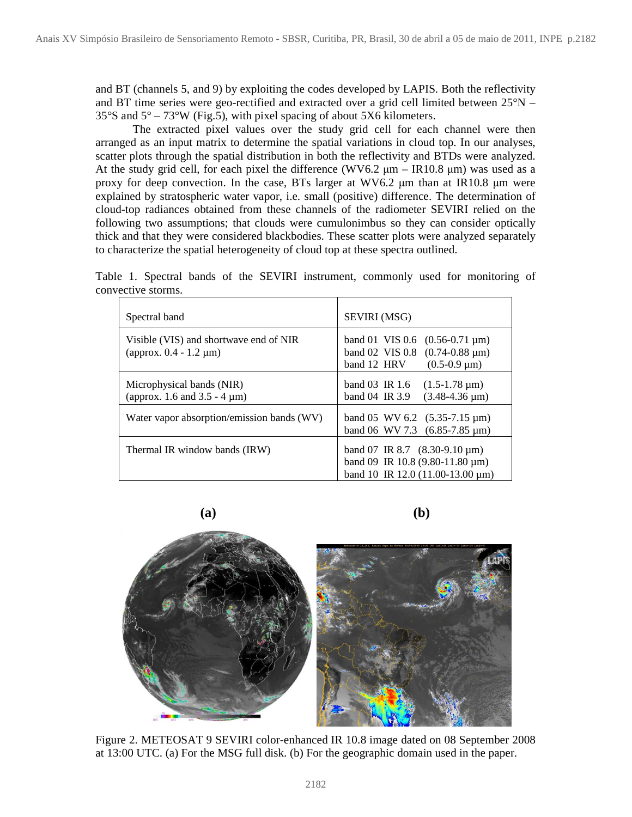and BT (channels 5, and 9) by exploiting the codes developed by LAPIS. Both the reflectivity and BT time series were geo-rectified and extracted over a grid cell limited between 25°N –  $35^{\circ}$ S and  $5^{\circ}$  –  $73^{\circ}$ W (Fig.5), with pixel spacing of about 5X6 kilometers.

 The extracted pixel values over the study grid cell for each channel were then arranged as an input matrix to determine the spatial variations in cloud top. In our analyses, scatter plots through the spatial distribution in both the reflectivity and BTDs were analyzed. At the study grid cell, for each pixel the difference (WV6.2  $\mu$ m – IR10.8  $\mu$ m) was used as a proxy for deep convection. In the case, BTs larger at WV6.2 µm than at IR10.8 µm were explained by stratospheric water vapor, i.e. small (positive) difference. The determination of cloud-top radiances obtained from these channels of the radiometer SEVIRI relied on the following two assumptions; that clouds were cumulonimbus so they can consider optically thick and that they were considered blackbodies. These scatter plots were analyzed separately to characterize the spatial heterogeneity of cloud top at these spectra outlined.

Table 1. Spectral bands of the SEVIRI instrument, commonly used for monitoring of convective storms.

| Spectral band                                                          | SEVIRI (MSG)                                                                                                            |
|------------------------------------------------------------------------|-------------------------------------------------------------------------------------------------------------------------|
| Visible (VIS) and shortwave end of NIR<br>(approx. $0.4 - 1.2 \mu m$ ) | band 01 VIS 0.6 $(0.56-0.71 \,\mu m)$<br>band 02 VIS 0.8 $(0.74-0.88 \text{ µm})$<br>$(0.5-0.9 \,\mu m)$<br>band 12 HRV |
| Microphysical bands (NIR)<br>(approx. 1.6 and $3.5 - 4 \mu m$ )        | band 03 $\,$ IR 1.6<br>$(1.5-1.78 \,\mu m)$<br>$(3.48-4.36 \,\mu m)$<br>band $04 \text{ IR } 3.9$                       |
| Water vapor absorption/emission bands (WV)                             | band 05 WV 6.2 $(5.35-7.15 \,\mu m)$<br>band 06 WV 7.3 $(6.85-7.85 \,\mu m)$                                            |
| Thermal IR window bands (IRW)                                          | band 07 IR 8.7 $(8.30-9.10 \,\mu m)$<br>band 09 IR 10.8 (9.80-11.80 $\mu$ m)<br>band 10 IR 12.0 (11.00-13.00 $\mu$ m)   |

**(a) (b)**



Figure 2. METEOSAT 9 SEVIRI color-enhanced IR 10.8 image dated on 08 September 2008 at 13:00 UTC. (a) For the MSG full disk. (b) For the geographic domain used in the paper.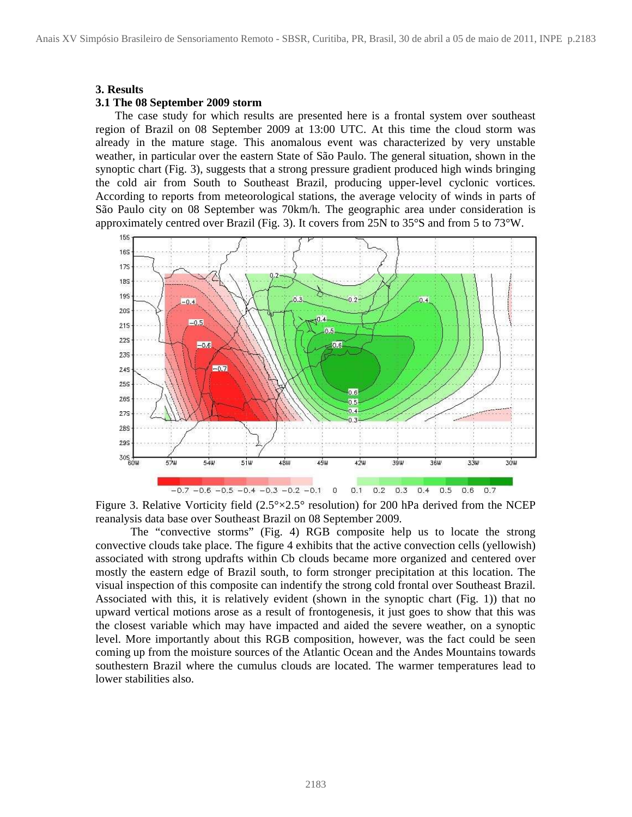#### **3. Results**

#### **3.1 The 08 September 2009 storm**

The case study for which results are presented here is a frontal system over southeast region of Brazil on 08 September 2009 at 13:00 UTC. At this time the cloud storm was already in the mature stage. This anomalous event was characterized by very unstable weather, in particular over the eastern State of São Paulo. The general situation, shown in the synoptic chart (Fig. 3), suggests that a strong pressure gradient produced high winds bringing the cold air from South to Southeast Brazil, producing upper-level cyclonic vortices. According to reports from meteorological stations, the average velocity of winds in parts of São Paulo city on 08 September was 70km/h. The geographic area under consideration is approximately centred over Brazil (Fig. 3). It covers from 25N to 35°S and from 5 to 73°W.



Figure 3. Relative Vorticity field  $(2.5^{\circ}\times2.5^{\circ}$  resolution) for 200 hPa derived from the NCEP reanalysis data base over Southeast Brazil on 08 September 2009.

The "convective storms" (Fig. 4) RGB composite help us to locate the strong convective clouds take place. The figure 4 exhibits that the active convection cells (yellowish) associated with strong updrafts within Cb clouds became more organized and centered over mostly the eastern edge of Brazil south, to form stronger precipitation at this location. The visual inspection of this composite can indentify the strong cold frontal over Southeast Brazil. Associated with this, it is relatively evident (shown in the synoptic chart (Fig. 1)) that no upward vertical motions arose as a result of frontogenesis, it just goes to show that this was the closest variable which may have impacted and aided the severe weather, on a synoptic level. More importantly about this RGB composition, however, was the fact could be seen coming up from the moisture sources of the Atlantic Ocean and the Andes Mountains towards southestern Brazil where the cumulus clouds are located. The warmer temperatures lead to lower stabilities also.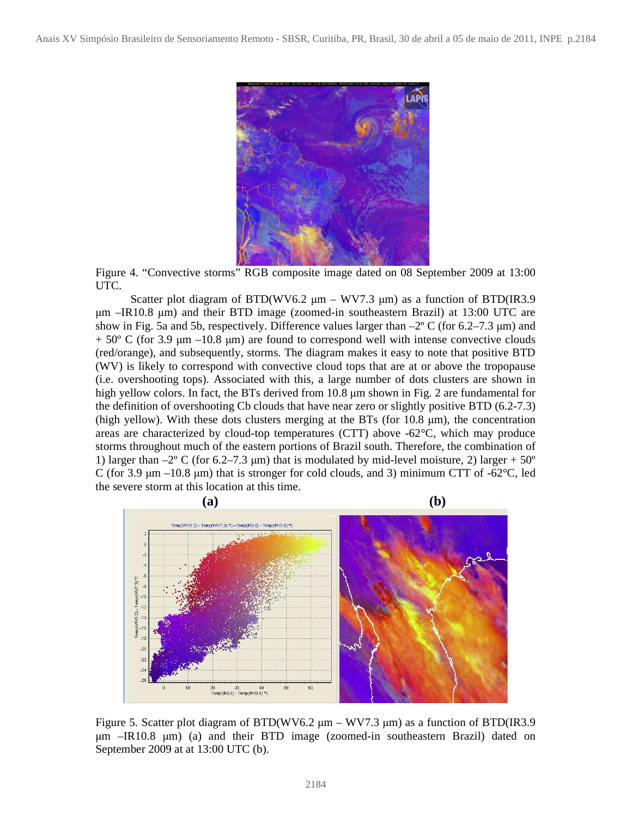

Figure 4. "Convective storms" RGB composite image dated on 08 September 2009 at 13:00 UTC.

Scatter plot diagram of BTD(WV6.2  $\mu$ m – WV7.3  $\mu$ m) as a function of BTD(IR3.9  $\mu$ m –IR10.8  $\mu$ m) and their BTD image (zoomed-in southeastern Brazil) at 13:00 UTC are show in Fig. 5a and 5b, respectively. Difference values larger than  $-2^{\circ}$  C (for 6.2–7.3 µm) and  $+ 50^{\circ}$  C (for 3.9  $\mu$ m –10.8  $\mu$ m) are found to correspond well with intense convective clouds (red/orange), and subsequently, storms. The diagram makes it easy to note that positive BTD (WV) is likely to correspond with convective cloud tops that are at or above the tropopause (i.e. overshooting tops). Associated with this, a large number of dots clusters are shown in high yellow colors. In fact, the BTs derived from 10.8  $\mu$ m shown in Fig. 2 are fundamental for the definition of overshooting Cb clouds that have near zero or slightly positive BTD (6.2-7.3) (high yellow). With these dots clusters merging at the BTs (for  $10.8 \mu m$ ), the concentration areas are characterized by cloud-top temperatures (CTT) above  $-62^{\circ}$ C, which may produce storms throughout much of the eastern portions of Brazil south. Therefore, the combination of 1) larger than  $-2^{\circ}$  C (for 6.2–7.3 µm) that is modulated by mid-level moisture, 2) larger + 50° C (for 3.9  $\mu$ m –10.8  $\mu$ m) that is stronger for cold clouds, and 3) minimum CTT of -62 $\degree$ C, led the severe storm at this location at this time.



Figure 5. Scatter plot diagram of BTD(WV6.2 µm – WV7.3 µm) as a function of BTD(IR3.9 µm –IR10.8 µm) (a) and their BTD image (zoomed-in southeastern Brazil) dated on September 2009 at at 13:00 UTC (b).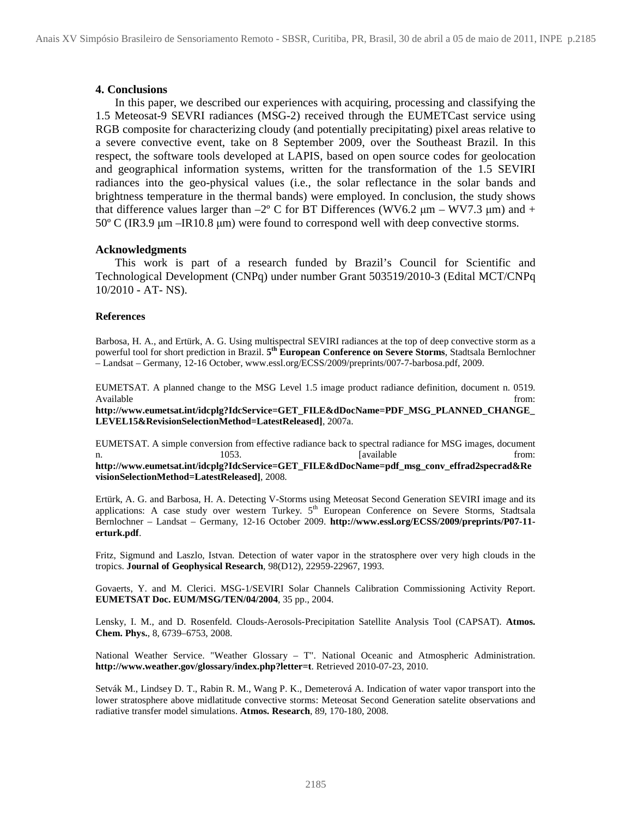# **4. Conclusions**

In this paper, we described our experiences with acquiring, processing and classifying the 1.5 Meteosat-9 SEVRI radiances (MSG-2) received through the EUMETCast service using RGB composite for characterizing cloudy (and potentially precipitating) pixel areas relative to a severe convective event, take on 8 September 2009, over the Southeast Brazil. In this respect, the software tools developed at LAPIS, based on open source codes for geolocation and geographical information systems, written for the transformation of the 1.5 SEVIRI radiances into the geo-physical values (i.e., the solar reflectance in the solar bands and brightness temperature in the thermal bands) were employed. In conclusion, the study shows that difference values larger than  $-2^{\circ}$  C for BT Differences (WV6.2  $\mu$ m – WV7.3  $\mu$ m) and +  $50^{\circ}$  C (IR3.9  $\mu$ m –IR10.8  $\mu$ m) were found to correspond well with deep convective storms.

# **Acknowledgments**

This work is part of a research funded by Brazil's Council for Scientific and Technological Development (CNPq) under number Grant 503519/2010-3 (Edital MCT/CNPq 10/2010 - AT- NS).

## **References**

Barbosa, H. A., and Ertürk, A. G. Using multispectral SEVIRI radiances at the top of deep convective storm as a powerful tool for short prediction in Brazil. **5 th European Conference on Severe Storms**, Stadtsala Bernlochner – Landsat – Germany, 12-16 October, www.essl.org/ECSS/2009/preprints/007-7-barbosa.pdf, 2009.

EUMETSAT. A planned change to the MSG Level 1.5 image product radiance definition, document n. 0519. Available from: the contract of the contract of the contract of the contract of the contract of the contract of the contract of the contract of the contract of the contract of the contract of the contract of the contract o

**http://www.eumetsat.int/idcplg?IdcService=GET\_FILE&dDocName=PDF\_MSG\_PLANNED\_CHANGE\_ LEVEL15&RevisionSelectionMethod=LatestReleased]**, 2007a.

EUMETSAT. A simple conversion from effective radiance back to spectral radiance for MSG images, document n. 1053. **In the above 1053.** [available from:

**http://www.eumetsat.int/idcplg?IdcService=GET\_FILE&dDocName=pdf\_msg\_conv\_effrad2specrad&Re visionSelectionMethod=LatestReleased]**, 2008.

Ertürk, A. G. and Barbosa, H. A. Detecting V-Storms using Meteosat Second Generation SEVIRI image and its applications: A case study over western Turkey. 5<sup>th</sup> European Conference on Severe Storms, Stadtsala Bernlochner – Landsat – Germany, 12-16 October 2009. **http://www.essl.org/ECSS/2009/preprints/P07-11 erturk.pdf**.

Fritz, Sigmund and Laszlo, Istvan. Detection of water vapor in the stratosphere over very high clouds in the tropics. **Journal of Geophysical Research**, 98(D12), 22959-22967, 1993.

Govaerts, Y. and M. Clerici. MSG-1/SEVIRI Solar Channels Calibration Commissioning Activity Report. **EUMETSAT Doc. EUM/MSG/TEN/04/2004**, 35 pp., 2004.

Lensky, I. M., and D. Rosenfeld. Clouds-Aerosols-Precipitation Satellite Analysis Tool (CAPSAT). **Atmos. Chem. Phys.**, 8, 6739–6753, 2008.

National Weather Service. "Weather Glossary – T". National Oceanic and Atmospheric Administration. **http://www.weather.gov/glossary/index.php?letter=t**. Retrieved 2010-07-23, 2010.

Setvák M., Lindsey D. T., Rabin R. M., Wang P. K., Demeterová A. Indication of water vapor transport into the lower stratosphere above midlatitude convective storms: Meteosat Second Generation satelite observations and radiative transfer model simulations. **Atmos. Research**, 89, 170-180, 2008.